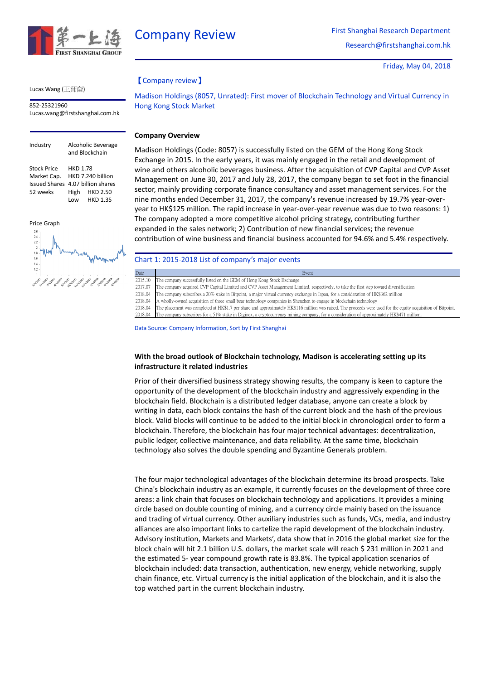

Friday, May 04, 2018

### Lucas Wang (王师奋)

852-25321960 [Lucas.wang@firstshanghai.com.hk](mailto:Lucas.wang@firstshanghai.com.hk)

# Industry Alcoholic Beverage and Blockchain Stock Price HKD 1.78 Market Cap. HKD 7.240 billion Issued Shares 4.07 billion shares 52 weeks High HKD 2.50 Low HKD 1.35

Price Graph



# 【Company review】

Madison Holdings (8057, Unrated): First mover of Blockchain Technology and Virtual Currency in Hong Kong Stock Market

## **Company Overview**

Madison Holdings (Code: 8057) is successfully listed on the GEM of the Hong Kong Stock Exchange in 2015. In the early years, it was mainly engaged in the retail and development of wine and others alcoholic beverages business. After the acquisition of CVP Capital and CVP Asset Management on June 30, 2017 and July 28, 2017, the company began to set foot in the financial sector, mainly providing corporate finance consultancy and asset management services. For the nine months ended December 31, 2017, the company's revenue increased by 19.7% year-overyear to HK\$125 million. The rapid increase in year-over-year revenue was due to two reasons: 1) The company adopted a more competitive alcohol pricing strategy, contributing further expanded in the sales network; 2) Contribution of new financial services; the revenue contribution of wine business and financial business accounted for 94.6% and 5.4% respectively.

## Chart 1: 2015-2018 List of company's major events

| Date    | Event                                                                                                                                                         |
|---------|---------------------------------------------------------------------------------------------------------------------------------------------------------------|
| 2015.10 | The company successfully listed on the GEM of Hong Kong Stock Exchange                                                                                        |
| 2017.07 | The company acquired CVP Capital Limited and CVP Asset Management Limited, respectively, to take the first step toward diversification                        |
| 2018.04 | The company subscribes a 20% stake in Bitpoint, a major virtual currency exchange in Japan, for a consideration of HK\$362 million                            |
| 2018.04 | A wholly-owned acquisition of three small bear technology companies in Shenzhen to engage in blockchain technology                                            |
| 2018.04 | The placement was completed at HK\$1.7 per share and approximately HK\$116 million was raised. The proceeds were used for the equity acquisition of Bitpoint. |
| 2018.04 | The company subscribes for a 51% stake in Diginex, a cryptocurrency mining company, for a consideration of approximately HK\$471 million.                     |

Data Source: Company Information, Sort by First Shanghai

## **With the broad outlook of Blockchain technology, Madison is accelerating setting up its infrastructure it related industries**

Prior of their diversified business strategy showing results, the company is keen to capture the opportunity of the development of the blockchain industry and aggressively expending in the blockchain field. Blockchain is a distributed ledger database, anyone can create a block by writing in data, each block contains the hash of the current block and the hash of the previous block. Valid blocks will continue to be added to the initial block in chronological order to form a blockchain. Therefore, the blockchain has four major technical advantages: decentralization, public ledger, collective maintenance, and data reliability. At the same time, blockchain technology also solves the double spending and Byzantine Generals problem.

The four major technological advantages of the blockchain determine its broad prospects. Take China's blockchain industry as an example, it currently focuses on the development of three core areas: a link chain that focuses on blockchain technology and applications. It provides a mining circle based on double counting of mining, and a currency circle mainly based on the issuance and trading of virtual currency. Other auxiliary industries such as funds, VCs, media, and industry alliances are also important links to cartelize the rapid development of the blockchain industry. Advisory institution, Markets and Markets', data show that in 2016 the global market size for the block chain will hit 2.1 billion U.S. dollars, the market scale will reach \$ 231 million in 2021 and the estimated 5- year compound growth rate is 83.8%. The typical application scenarios of blockchain included: data transaction, authentication, new energy, vehicle networking, supply chain finance, etc. Virtual currency is the initial application of the blockchain, and it is also the top watched part in the current blockchain industry.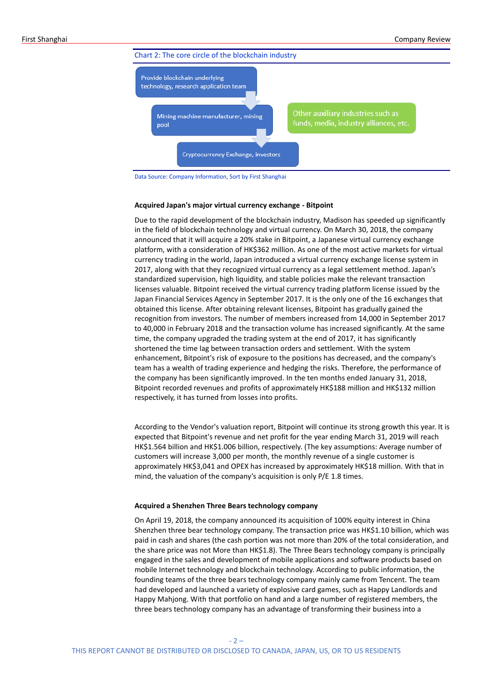

Data Source: Company Information, Sort by First Shanghai

#### **Acquired Japan's major virtual currency exchange - Bitpoint**

Due to the rapid development of the blockchain industry, Madison has speeded up significantly in the field of blockchain technology and virtual currency. On March 30, 2018, the company announced that it will acquire a 20% stake in Bitpoint, a Japanese virtual currency exchange platform, with a consideration of HK\$362 million. As one of the most active markets for virtual currency trading in the world, Japan introduced a virtual currency exchange license system in 2017, along with that they recognized virtual currency as a legal settlement method. Japan's standardized supervision, high liquidity, and stable policies make the relevant transaction licenses valuable. Bitpoint received the virtual currency trading platform license issued by the Japan Financial Services Agency in September 2017. It is the only one of the 16 exchanges that obtained this license. After obtaining relevant licenses, Bitpoint has gradually gained the recognition from investors. The number of members increased from 14,000 in September 2017 to 40,000 in February 2018 and the transaction volume has increased significantly. At the same time, the company upgraded the trading system at the end of 2017, it has significantly shortened the time lag between transaction orders and settlement. With the system enhancement, Bitpoint's risk of exposure to the positions has decreased, and the company's team has a wealth of trading experience and hedging the risks. Therefore, the performance of the company has been significantly improved. In the ten months ended January 31, 2018, Bitpoint recorded revenues and profits of approximately HK\$188 million and HK\$132 million respectively, it has turned from losses into profits.

According to the Vendor's valuation report, Bitpoint will continue its strong growth this year. It is expected that Bitpoint's revenue and net profit for the year ending March 31, 2019 will reach HK\$1.564 billion and HK\$1.006 billion, respectively. (The key assumptions: Average number of customers will increase 3,000 per month, the monthly revenue of a single customer is approximately HK\$3,041 and OPEX has increased by approximately HK\$18 million. With that in mind, the valuation of the company's acquisition is only P/E 1.8 times.

#### **Acquired a Shenzhen Three Bears technology company**

On April 19, 2018, the company announced its acquisition of 100% equity interest in China Shenzhen three bear technology company. The transaction price was HK\$1.10 billion, which was paid in cash and shares (the cash portion was not more than 20% of the total consideration, and the share price was not More than HK\$1.8). The Three Bears technology company is principally engaged in the sales and development of mobile applications and software products based on mobile Internet technology and blockchain technology. According to public information, the founding teams of the three bears technology company mainly came from Tencent. The team had developed and launched a variety of explosive card games, such as Happy Landlords and Happy Mahjong. With that portfolio on hand and a large number of registered members, the three bears technology company has an advantage of transforming their business into a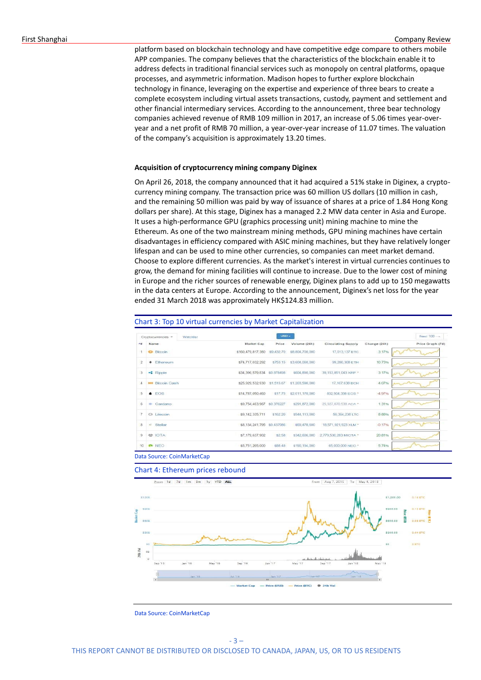platform based on blockchain technology and have competitive edge compare to others mobile APP companies. The company believes that the characteristics of the blockchain enable it to address defects in traditional financial services such as monopoly on central platforms, opaque processes, and asymmetric information. Madison hopes to further explore blockchain technology in finance, leveraging on the expertise and experience of three bears to create a complete ecosystem including virtual assets transactions, custody, payment and settlement and other financial intermediary services. According to the announcement, three bear technology companies achieved revenue of RMB 109 million in 2017, an increase of 5.06 times year-overyear and a net profit of RMB 70 million, a year-over-year increase of 11.07 times. The valuation of the company's acquisition is approximately 13.20 times.

### **Acquisition of cryptocurrency mining company Diginex**

On April 26, 2018, the company announced that it had acquired a 51% stake in Diginex, a cryptocurrency mining company. The transaction price was 60 million US dollars (10 million in cash, and the remaining 50 million was paid by way of issuance of shares at a price of 1.84 Hong Kong dollars per share). At this stage, Diginex has a managed 2.2 MW data center in Asia and Europe. It uses a high-performance GPU (graphics processing unit) mining machine to mine the Ethereum. As one of the two mainstream mining methods, GPU mining machines have certain disadvantages in efficiency compared with ASIC mining machines, but they have relatively longer lifespan and can be used to mine other currencies, so companies can meet market demand. Choose to explore different currencies. As the market's interest in virtual currencies continues to grow, the demand for mining facilities will continue to increase. Due to the lower cost of mining in Europe and the richer sources of renewable energy, Diginex plans to add up to 150 megawatts in the data centers at Europe. According to the announcement, Diginex's net loss for the year ended 31 March 2018 was approximately HK\$124.83 million.

### Chart 3: Top 10 virtual currencies by Market Capitalization

|                         | Watchlist<br>Cryptocurrencies - |                             | $USD -$    |                 |                           |              | Next $100 - 1$   |
|-------------------------|---------------------------------|-----------------------------|------------|-----------------|---------------------------|--------------|------------------|
| $-\pi$                  | Name                            | Market Cap                  | Price      | Volume (24h)    | <b>Circulating Supply</b> | Change (24h) | Price Graph (7d) |
| $\mathbf{1}$            | <b>Bitcoin</b>                  | \$160,479,817,380           | \$9,432.70 | \$8,804,700,000 | 17,013,137 BTC            | 3.17%        |                  |
| $\overline{c}$          | Fthereum<br>٠                   | \$74,717,032,292            | \$753.15   | \$3,604,060,000 | 99.206.308 ETH            | 10.73%       |                  |
| $\overline{\mathbf{3}}$ | $\bullet$ Ripple                | \$34,396,579,834 \$0,878498 |            | \$604,890,000   | 39.153.851.043 XRP *      | 3.17%        |                  |
| 4                       | <b>BDI Bitcoin Cash</b>         | \$25,929,532,930 \$1,515.67 |            | \$1,203,590,000 | 17, 107, 638 BCH          | 4.07%        |                  |
| -5                      | $\triangle$ FOS                 | \$14,787,050,460            | \$17.75    | \$2,011,170,000 | 832.904,338 EOS *         | $-4.97%$     |                  |
| 6                       | $\infty$<br>Cardano             | \$9,754,463,967             | \$0.376227 | \$291,872,000   | 25,927,070,538 ADA *      | 1.31%        |                  |
| $\overline{\tau}$       | @ Litecoin                      | \$9.142.335.711             | \$162.20   | \$544,113,000   | 56.364.238 LTC            | 8.88%        |                  |
| 8                       | $\mathcal{L}$<br>Stellar        | \$8.134.241.795 \$0.437986  |            | S69.478.600     | 18,571,921,923 XLM *      | $-0.17%$     |                  |
| 9                       | <sup>心</sup> IOTA               | \$7,179,637,902             | \$2.58     | \$342,606,000   | 2,779,530,283 MIOTA *     | 20.81%       |                  |
| 10                      | <b>R</b> NEO                    | \$5,751,265,000             | S88.48     | \$190,194,000   | 65,000,000 NEO *          | 5.74%        |                  |

Data Source: CoinMarketCap

#### Chart 4: Ethereum prices rebound



Data Source: CoinMarketCap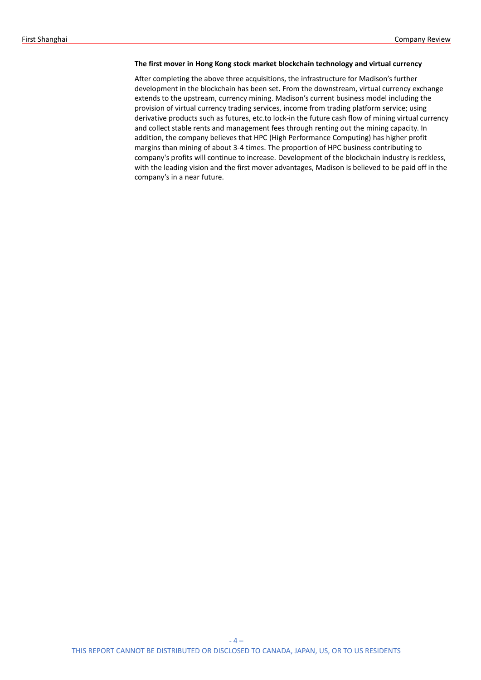### **The first mover in Hong Kong stock market blockchain technology and virtual currency**

After completing the above three acquisitions, the infrastructure for Madison's further development in the blockchain has been set. From the downstream, virtual currency exchange extends to the upstream, currency mining. Madison's current business model including the provision of virtual currency trading services, income from trading platform service; using derivative products such as futures, etc.to lock-in the future cash flow of mining virtual currency and collect stable rents and management fees through renting out the mining capacity. In addition, the company believes that HPC (High Performance Computing) has higher profit margins than mining of about 3-4 times. The proportion of HPC business contributing to company's profits will continue to increase. Development of the blockchain industry is reckless, with the leading vision and the first mover advantages, Madison is believed to be paid off in the company's in a near future.